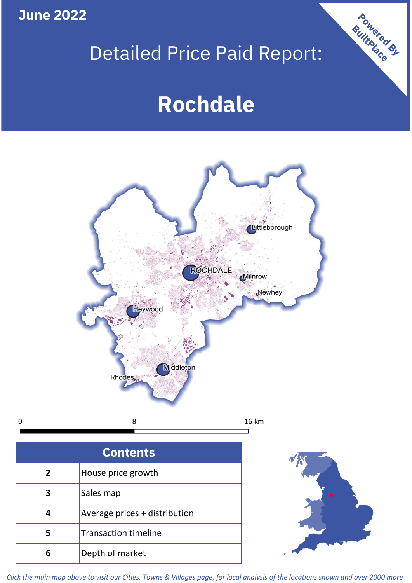**June 2022**

 $\mathbf 0$ 

## Detailed Price Paid Report:

# **Rochdale**



| <b>Contents</b> |                               |  |  |
|-----------------|-------------------------------|--|--|
| $\overline{2}$  | House price growth            |  |  |
| З               | Sales map                     |  |  |
|                 | Average prices + distribution |  |  |
|                 | <b>Transaction timeline</b>   |  |  |
|                 | Depth of market               |  |  |



Powered By

*Click the main map above to visit our Cities, Towns & Villages page, for local analysis of the locations shown and over 2000 more*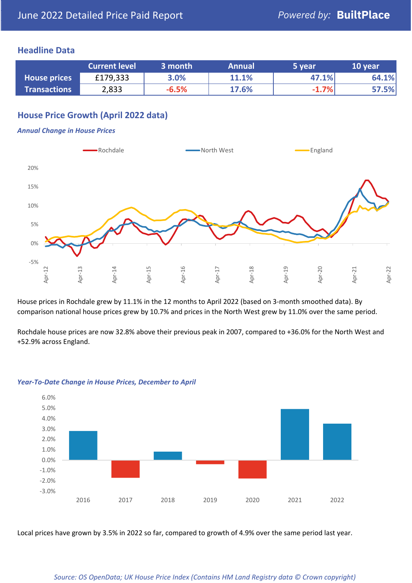## **Headline Data**

|                     | <b>Current level</b> | 3 month | <b>Annual</b> | 5 year  | 10 year |
|---------------------|----------------------|---------|---------------|---------|---------|
| <b>House prices</b> | £179,333             | 3.0%    | 11.1%         | 47.1%   | 64.1%   |
| <b>Transactions</b> | 2,833                | $-6.5%$ | 17.6%         | $-1.7%$ | 57.5%   |

## **House Price Growth (April 2022 data)**

#### *Annual Change in House Prices*



House prices in Rochdale grew by 11.1% in the 12 months to April 2022 (based on 3-month smoothed data). By comparison national house prices grew by 10.7% and prices in the North West grew by 11.0% over the same period.

Rochdale house prices are now 32.8% above their previous peak in 2007, compared to +36.0% for the North West and +52.9% across England.



#### *Year-To-Date Change in House Prices, December to April*

Local prices have grown by 3.5% in 2022 so far, compared to growth of 4.9% over the same period last year.

#### *Source: OS OpenData; UK House Price Index (Contains HM Land Registry data © Crown copyright)*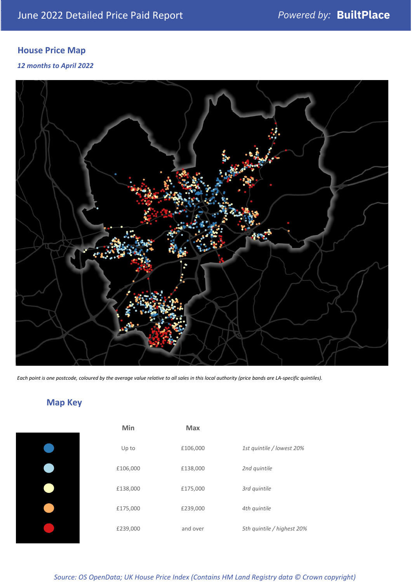## **House Price Map**

### *12 months to April 2022*



*Each point is one postcode, coloured by the average value relative to all sales in this local authority (price bands are LA-specific quintiles).*

## **Map Key**

| Min      | <b>Max</b> |                            |
|----------|------------|----------------------------|
| Up to    | £106,000   | 1st quintile / lowest 20%  |
| £106,000 | £138,000   | 2nd quintile               |
| £138,000 | £175,000   | 3rd quintile               |
| £175,000 | £239,000   | 4th quintile               |
| £239,000 | and over   | 5th quintile / highest 20% |

*Source: OS OpenData; UK House Price Index (Contains HM Land Registry data © Crown copyright)*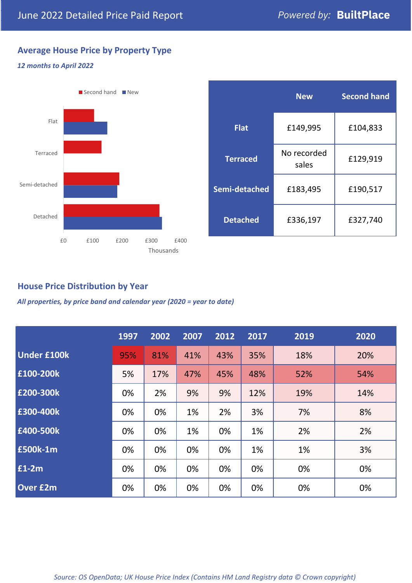## **Average House Price by Property Type**

### *12 months to April 2022*



|                 | <b>New</b>           | <b>Second hand</b> |  |
|-----------------|----------------------|--------------------|--|
| <b>Flat</b>     | £149,995             | £104,833           |  |
| <b>Terraced</b> | No recorded<br>sales | £129,919           |  |
| Semi-detached   | £183,495             | £190,517           |  |
| <b>Detached</b> | £336,197             | £327,740           |  |

## **House Price Distribution by Year**

*All properties, by price band and calendar year (2020 = year to date)*

|                    | 1997 | 2002 | 2007 | 2012 | 2017 | 2019 | 2020 |
|--------------------|------|------|------|------|------|------|------|
| <b>Under £100k</b> | 95%  | 81%  | 41%  | 43%  | 35%  | 18%  | 20%  |
| £100-200k          | 5%   | 17%  | 47%  | 45%  | 48%  | 52%  | 54%  |
| £200-300k          | 0%   | 2%   | 9%   | 9%   | 12%  | 19%  | 14%  |
| £300-400k          | 0%   | 0%   | 1%   | 2%   | 3%   | 7%   | 8%   |
| £400-500k          | 0%   | 0%   | 1%   | 0%   | 1%   | 2%   | 2%   |
| £500k-1m           | 0%   | 0%   | 0%   | 0%   | 1%   | 1%   | 3%   |
| £1-2m              | 0%   | 0%   | 0%   | 0%   | 0%   | 0%   | 0%   |
| <b>Over £2m</b>    | 0%   | 0%   | 0%   | 0%   | 0%   | 0%   | 0%   |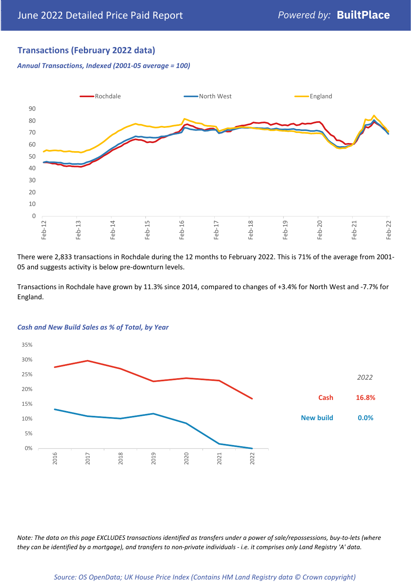## **Transactions (February 2022 data)**

*Annual Transactions, Indexed (2001-05 average = 100)*



There were 2,833 transactions in Rochdale during the 12 months to February 2022. This is 71% of the average from 2001- 05 and suggests activity is below pre-downturn levels.

Transactions in Rochdale have grown by 11.3% since 2014, compared to changes of +3.4% for North West and -7.7% for England.



#### *Cash and New Build Sales as % of Total, by Year*

*Note: The data on this page EXCLUDES transactions identified as transfers under a power of sale/repossessions, buy-to-lets (where they can be identified by a mortgage), and transfers to non-private individuals - i.e. it comprises only Land Registry 'A' data.*